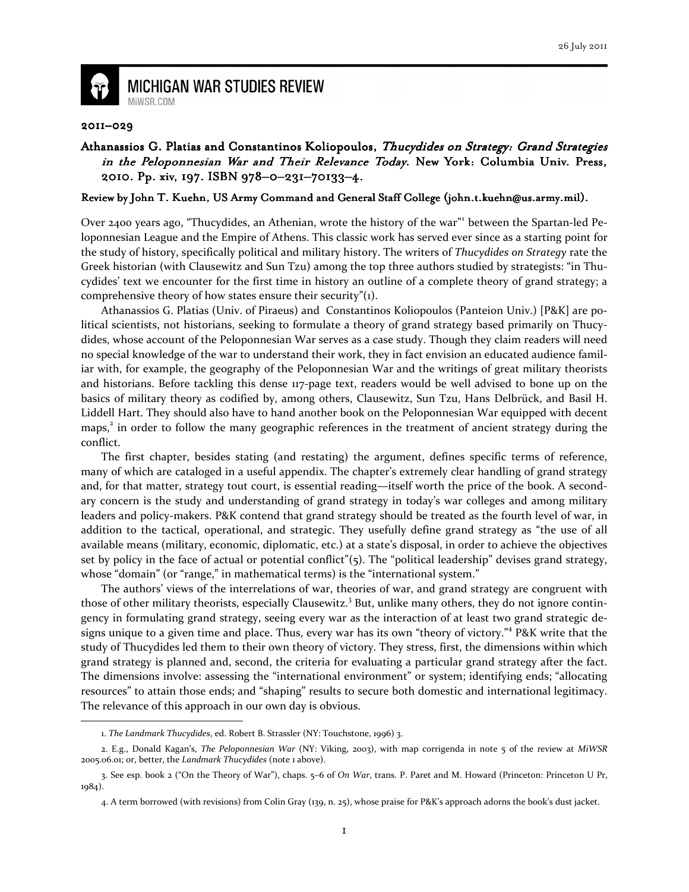

**MICHIGAN WAR STUDIES REVIEW** MiWSR COM

## 2011–029

## Athanassios G. Platias and Constantinos Koliopoulos, Thucydides on Strategy: Grand Strategies in the Peloponnesian War and Their Relevance Today. New York: Columbia Univ. Press, 2010. Pp. xiv, 197. ISBN 978-0-231-70133-4.

## Review by John T. Kuehn, US Army Command and General Staff College (john.t.kuehn@us.army.mil).

Over 2400 years ago, "Thucydides, an Athenian, wrote the history of the war"<sup>1</sup> between the Spartan-led Peloponnesian League and the Empire of Athens. This classic work has served ever since as a starting point for the study of history, specifically political and military history. The writers of Thucydides on Strategy rate the Greek historian (with Clausewitz and Sun Tzu) among the top three authors studied by strategists: "in Thucydides' text we encounter for the first time in history an outline of a complete theory of grand strategy; a comprehensive theory of how states ensure their security"(1).

Athanassios G. Platias (Univ. of Piraeus) and Constantinos Koliopoulos (Panteion Univ.) [P&K] are political scientists, not historians, seeking to formulate a theory of grand strategy based primarily on Thucydides, whose account of the Peloponnesian War serves as a case study. Though they claim readers will need no special knowledge of the war to understand their work, they in fact envision an educated audience familiar with, for example, the geography of the Peloponnesian War and the writings of great military theorists and historians. Before tackling this dense 117-page text, readers would be well advised to bone up on the basics of military theory as codified by, among others, Clausewitz, Sun Tzu, Hans Delbrück, and Basil H. Liddell Hart. They should also have to hand another book on the Peloponnesian War equipped with decent maps,<sup>2</sup> in order to follow the many geographic references in the treatment of ancient strategy during the conflict.

The first chapter, besides stating (and restating) the argument, defines specific terms of reference, many of which are cataloged in a useful appendix. The chapter's extremely clear handling of grand strategy and, for that matter, strategy tout court, is essential reading—itself worth the price of the book. A secondary concern is the study and understanding of grand strategy in today's war colleges and among military leaders and policy-makers. P&K contend that grand strategy should be treated as the fourth level of war, in addition to the tactical, operational, and strategic. They usefully define grand strategy as "the use of all available means (military, economic, diplomatic, etc.) at a state's disposal, in order to achieve the objectives set by policy in the face of actual or potential conflict"(5). The "political leadership" devises grand strategy, whose "domain" (or "range," in mathematical terms) is the "international system."

The authors' views of the interrelations of war, theories of war, and grand strategy are congruent with those of other military theorists, especially Clausewitz.<sup>3</sup> But, unlike many others, they do not ignore contingency in formulating grand strategy, seeing every war as the interaction of at least two grand strategic designs unique to a given time and place. Thus, every war has its own "theory of victory."<sup>4</sup> P&K write that the study of Thucydides led them to their own theory of victory. They stress, first, the dimensions within which grand strategy is planned and, second, the criteria for evaluating a particular grand strategy after the fact. The dimensions involve: assessing the "international environment" or system; identifying ends; "allocating resources" to attain those ends; and "shaping" results to secure both domestic and international legitimacy. The relevance of this approach in our own day is obvious.  $\overline{\phantom{0}}$ 

<sup>1.</sup> The Landmark Thucydides, ed. Robert B. Strassler (NY: Touchstone, 1996) 3.

<sup>2.</sup> E.g., Donald Kagan's, The Peloponnesian War (NY: Viking, 2003), with map corrigenda in note 5 of the review at MiWSR 2005.06.01; or, better, the Landmark Thucydides (note 1 above).

<sup>3.</sup> See esp. book 2 ("On the Theory of War"), chaps. 5–6 of On War, trans. P. Paret and M. Howard (Princeton: Princeton U Pr,  $1984)$ .

<sup>4.</sup> A term borrowed (with revisions) from Colin Gray (139, n. 25), whose praise for P&K's approach adorns the book's dust jacket.